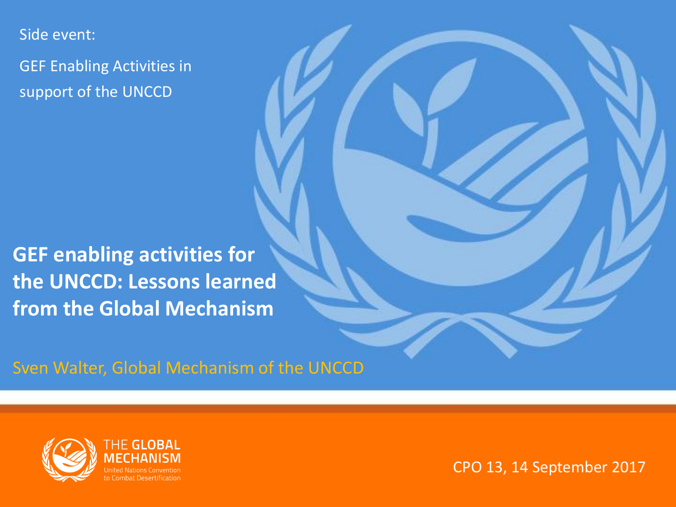Side event:

GEF Enabling Activities in support of the UNCCD

**GEF enabling activities for the UNCCD: Lessons learned from the Global Mechanism**

Sven Walter, Global Mechanism of the UNCCD



CPO 13, 14 September 2017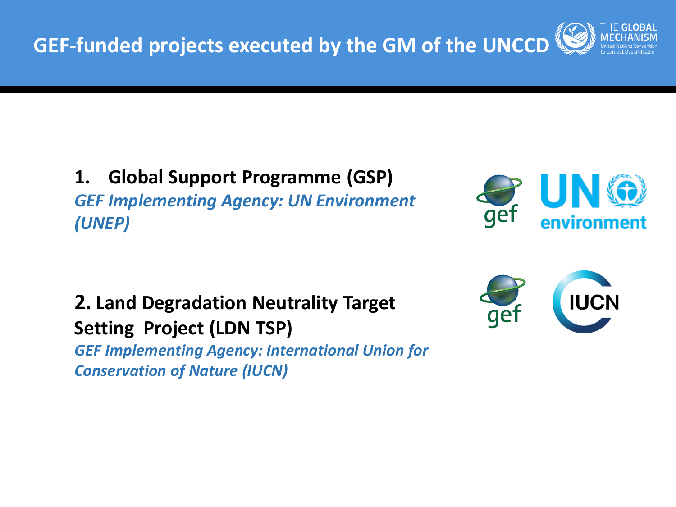

#### **1. Global Support Programme (GSP)** *GEF Implementing Agency: UN Environment (UNEP)*



### **2. Land Degradation Neutrality Target Setting Project (LDN TSP)**

*GEF Implementing Agency: International Union for Conservation of Nature (IUCN)*

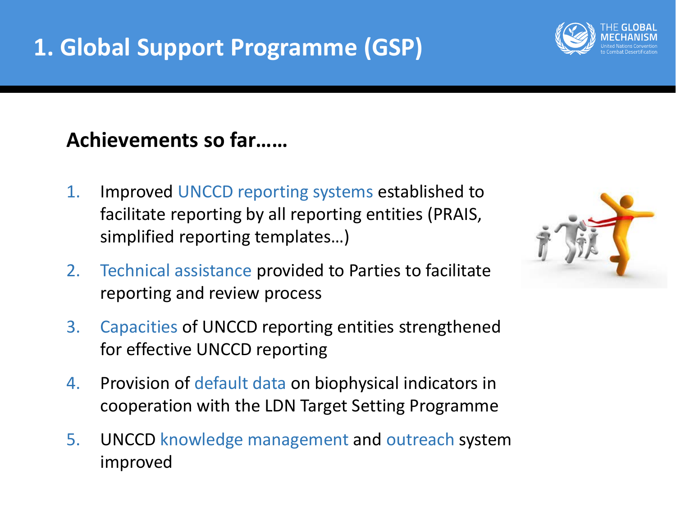# **1. Global Support Programme (GSP)**

#### **Achievements so far……**

- 1. Improved UNCCD reporting systems established to facilitate reporting by all reporting entities (PRAIS, simplified reporting templates…)
- 2. Technical assistance provided to Parties to facilitate reporting and review process
- 3. Capacities of UNCCD reporting entities strengthened for effective UNCCD reporting
- 4. Provision of default data on biophysical indicators in cooperation with the LDN Target Setting Programme
- 5. UNCCD knowledge management and outreach system improved



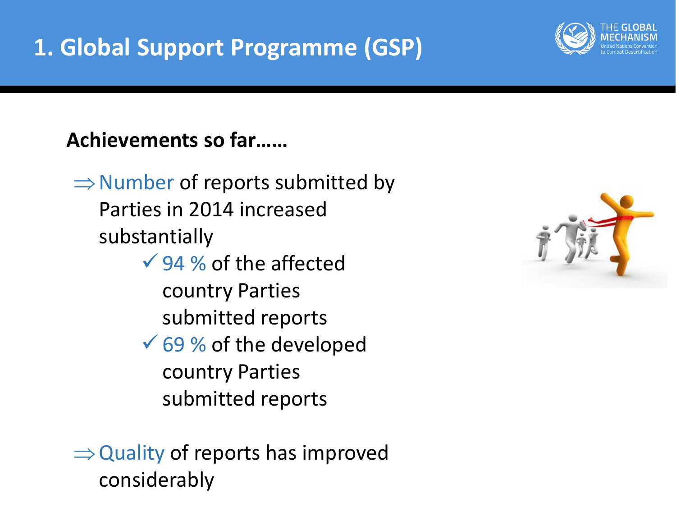

 $\Rightarrow$  Number of reports submitted by Parties in 2014 increased substantially

- $\sqrt{94}$  % of the affected country Parties submitted reports
- $\sqrt{69}$  % of the developed country Parties submitted reports

 $\Rightarrow$  Quality of reports has improved considerably



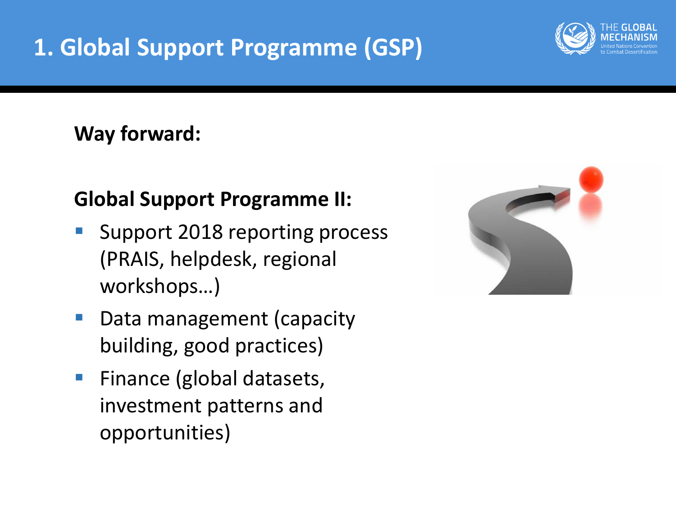# **1. Global Support Programme (GSP)**

#### **Way forward:**

### **Global Support Programme II:**

- Support 2018 reporting process (PRAIS, helpdesk, regional workshops…)
- **Data management (capacity** building, good practices)
- **Finance (global datasets,** investment patterns and opportunities)



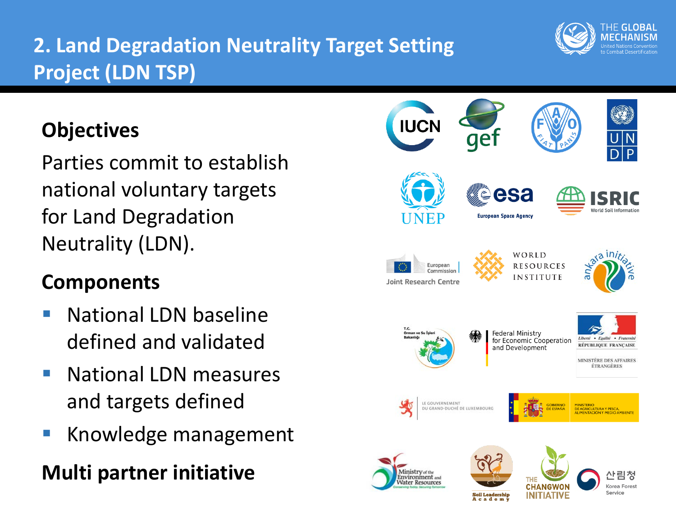## **2. Land Degradation Neutrality Target Setting Project (LDN TSP)**

## **Objectives**

Parties commit to establish national voluntary targets for Land Degradation Neutrality (LDN).

### **Components**

- National LDN baseline defined and validated
- National LDN measures and targets defined
- Knowledge management

# **Multi partner initiative**



A c a d e m y

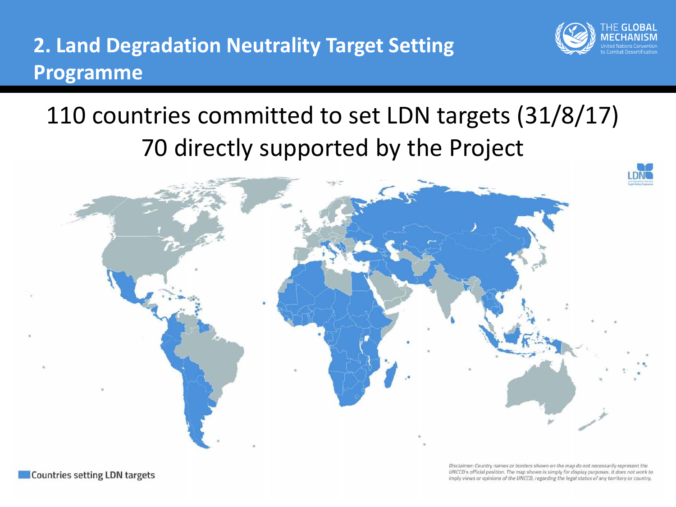### **2. Land Degradation Neutrality Target Setting Programme**



# 110 countries committed to set LDN targets (31/8/17) 70 directly supported by the Project



Countries setting LDN targets

Disclaimer: Country names or borders shown on the map do not necessarily represent the UNCCD's official position. The map shown is simply for display purposes. It does not work to imply views or opinions of the UNCCD, regarding the legal status of any territory or country.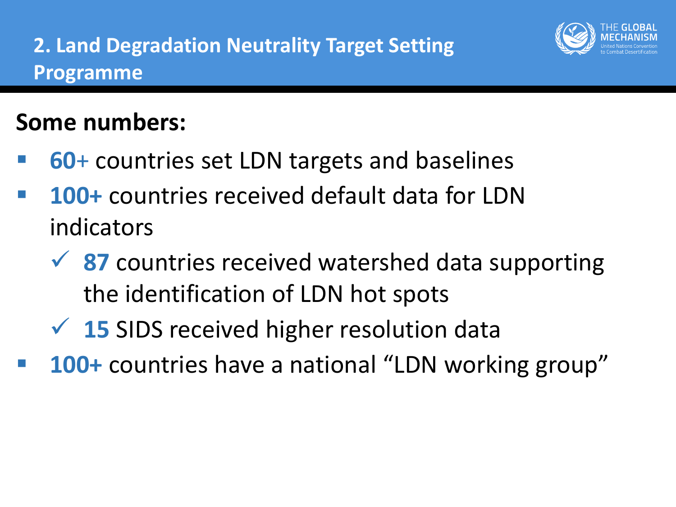

# **Some numbers:**

- **60**+ countries set LDN targets and baselines
- **100+** countries received default data for LDN indicators
	- **★ 87** countries received watershed data supporting the identification of LDN hot spots
	- **<del>√</del>** 15 SIDS received higher resolution data
- **100+** countries have a national "LDN working group"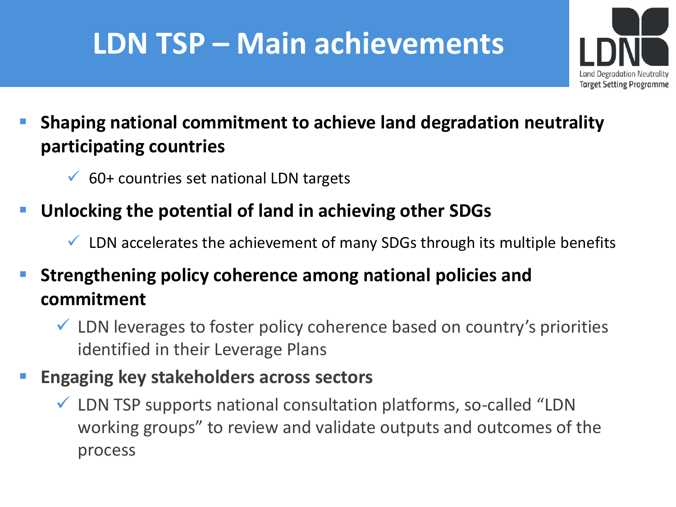# **LDN TSP – Main achievements**



#### **Shaping national commitment to achieve land degradation neutrality participating countries**

- $60+$  countries set national LDN targets
- **Unlocking the potential of land in achieving other SDGs** 
	- $\checkmark$  LDN accelerates the achievement of many SDGs through its multiple benefits

#### **Strengthening policy coherence among national policies and commitment**

- $\checkmark$  LDN leverages to foster policy coherence based on country's priorities identified in their Leverage Plans
- **Engaging key stakeholders across sectors**
	- $\checkmark$  LDN TSP supports national consultation platforms, so-called "LDN working groups" to review and validate outputs and outcomes of the process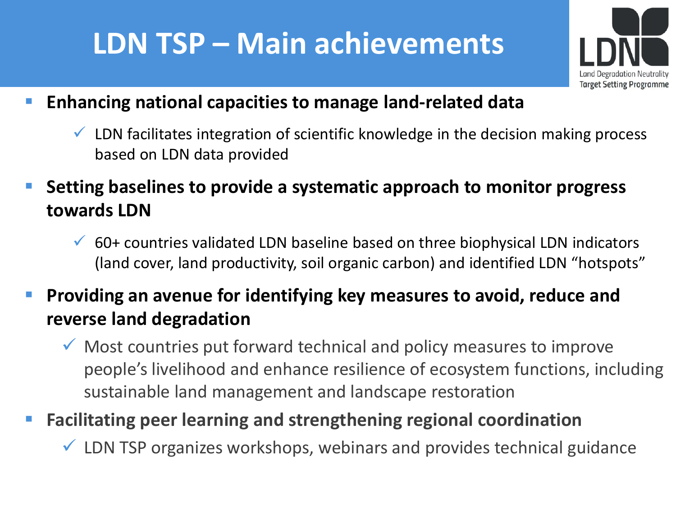# **LDN TSP – Main achievements**



- **Enhancing national capacities to manage land-related data** 
	- $\checkmark$  LDN facilitates integration of scientific knowledge in the decision making process based on LDN data provided
- **Setting baselines to provide a systematic approach to monitor progress towards LDN** 
	- $\checkmark$  60+ countries validated LDN baseline based on three biophysical LDN indicators (land cover, land productivity, soil organic carbon) and identified LDN "hotspots"
- **Providing an avenue for identifying key measures to avoid, reduce and reverse land degradation**
	- $\checkmark$  Most countries put forward technical and policy measures to improve people's livelihood and enhance resilience of ecosystem functions, including sustainable land management and landscape restoration
- **Facilitating peer learning and strengthening regional coordination**
	- $\checkmark$  LDN TSP organizes workshops, webinars and provides technical guidance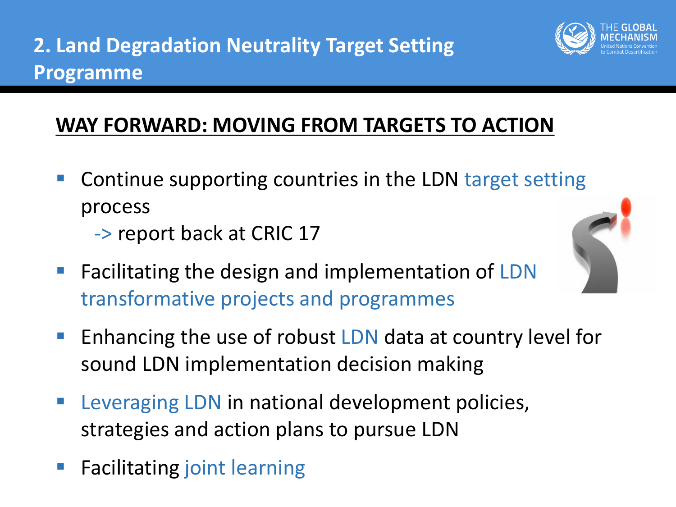

### **WAY FORWARD: MOVING FROM TARGETS TO ACTION**

- Continue supporting countries in the LDN target setting process
	- -> report back at CRIC 17



- **Facilitating the design and implementation of LDN** transformative projects and programmes
- **Enhancing the use of robust LDN data at country level for** sound LDN implementation decision making
- **EXA** Leveraging LDN in national development policies, strategies and action plans to pursue LDN
- **Facilitating joint learning**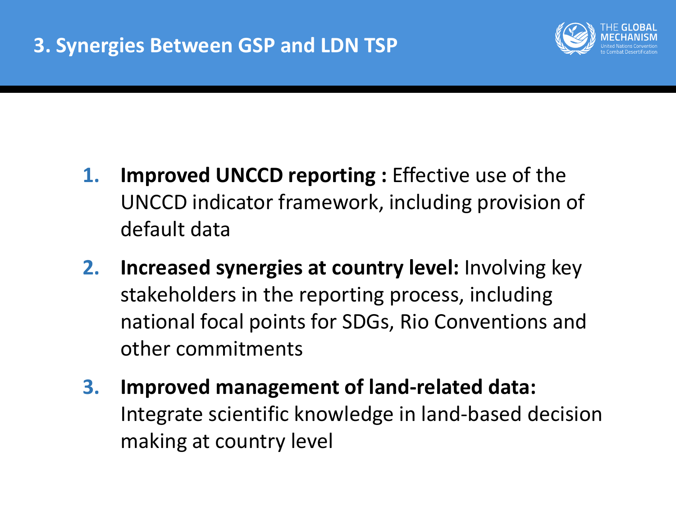

- **1. Improved UNCCD reporting :** Effective use of the UNCCD indicator framework, including provision of default data
- **2. Increased synergies at country level:** Involving key stakeholders in the reporting process, including national focal points for SDGs, Rio Conventions and other commitments
- **3. Improved management of land-related data:**  Integrate scientific knowledge in land-based decision making at country level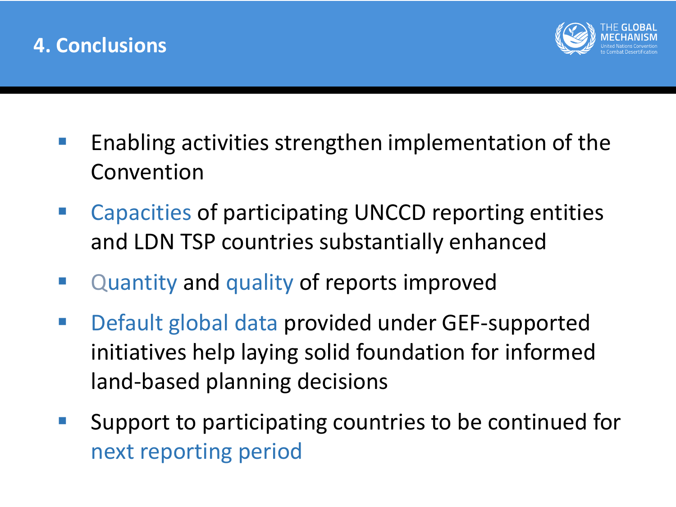



- Enabling activities strengthen implementation of the Convention
- Capacities of participating UNCCD reporting entities and LDN TSP countries substantially enhanced
- **Quantity and quality of reports improved**
- Default global data provided under GEF-supported initiatives help laying solid foundation for informed land-based planning decisions
- **Support to participating countries to be continued for** next reporting period